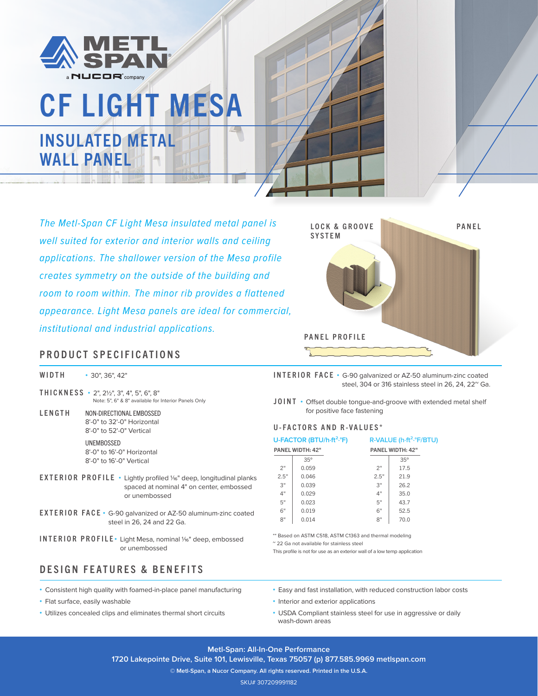

# CF LIGHT MESA INSULATED METAL WALL PANEL

*The Metl-Span CF Light Mesa insulated metal panel is well suited for exterior and interior walls and ceiling applications. The shallower version of the Mesa profile creates symmetry on the outside of the building and room to room within. The minor rib provides a flattened appearance. Light Mesa panels are ideal for commercial, institutional and industrial applications.*



#### PRODUCT SPECIFICATIONS

WIDTH **•** 30", 36", 42"

THICKNESS **•** 2", 21/2", 3", 4", 5", 6", 8" Note: 5", 6" & 8" available for Interior Panels Only

LENGTH NON-DIRECTIONAL EMBOSSED 8'-0" to 32'-0" Horizontal 8'-0" to 52'-0" Vertical UNEMBOSSED

8'-0" to 16'-0" Horizontal 8'-0" to 16'-0" Vertical

- EXTERIOR PROFILE **•** Lightly profiled 1/16" deep, longitudinal planks spaced at nominal 4" on center, embossed or unembossed
- EXTERIOR FACE **•** G-90 galvanized or AZ-50 aluminum-zinc coated steel in 26, 24 and 22 Ga.
- INTERIOR PROFILE Light Mesa, nominal 1/<sub>16</sub>" deep, embossed or unembossed

### DESIGN FEATURES & BENEFITS

- **•** Consistent high quality with foamed-in-place panel manufacturing
- **•** Flat surface, easily washable
- **•** Utilizes concealed clips and eliminates thermal short circuits

INTERIOR FACE **•** G-90 galvanized or AZ-50 aluminum-zinc coated steel, 304 or 316 stainless steel in 26, 24, 22<sup>~</sup> Ga.

JOINT **•** Offset double tongue-and-groove with extended metal shelf for positive face fastening

#### U-FACTORS AND R-VALUES\*

| U-FACTOR (BTU/h-ft <sup>2</sup> .°F) |            | R-VALUE (h-ft <sup>2</sup> .°F/BTU) |            |  |
|--------------------------------------|------------|-------------------------------------|------------|--|
| <b>PANEL WIDTH: 42"</b>              |            | PANEL WIDTH: 42"                    |            |  |
|                                      | $35^\circ$ |                                     | $35^\circ$ |  |
| 2"                                   | 0.059      | 2"                                  | 17.5       |  |
| 2.5"                                 | 0.046      | 2.5"                                | 21.9       |  |
| 3"                                   | 0.039      | 3"                                  | 26.2       |  |
| 4"                                   | 0.029      | 4"                                  | 35.0       |  |
| 5"                                   | 0.023      | 5"                                  | 43.7       |  |
| 6"                                   | 0.019      | 6"                                  | 52.5       |  |
| 8"                                   | 0.014      | 8"                                  | 70.0       |  |
|                                      |            |                                     |            |  |

\*\* Based on ASTM C518, ASTM C1363 and thermal modeling

~ 22 Ga not available for stainless steel

This profile is not for use as an exterior wall of a low temp application

- **•** Easy and fast installation, with reduced construction labor costs
- **•** Interior and exterior applications
- **•** USDA Compliant stainless steel for use in aggressive or daily wash-down areas

**Metl-Span: All-In-One Performance 1720 Lakepointe Drive, Suite 101, Lewisville, Texas 75057 (p) 877.585.9969 metlspan.com**

**© Metl-Span, a Nucor Company. All rights reserved. Printed in the U.S.A.**

SKU# 307209991182